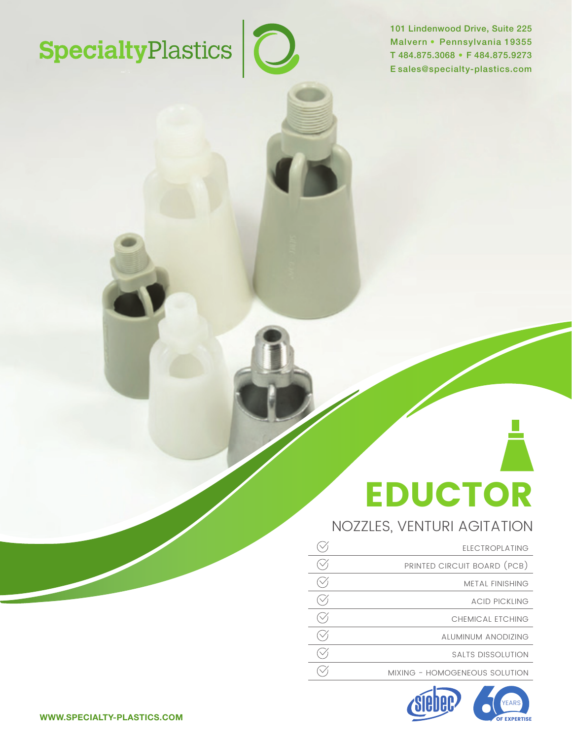# SpecialtyPlastics<sup>1</sup>0

101 Lindenwood Drive, Suite 225 Malvern • Pennsylvania 19355 T 484.875.3068 • F 484.875.9273 E sales@specialty-plastics.com

# EDUCTOR

# NOZZLES, VENTURI AGITATION

| <b>ELECTROPLATING</b>         |
|-------------------------------|
| PRINTED CIRCUIT BOARD (PCB)   |
| <b>METAL FINISHING</b>        |
| <b>ACID PICKLING</b>          |
| CHEMICAL ETCHING              |
| ALUMINUM ANODIZING            |
| SALTS DISSOLUTION             |
| MIXING - HOMOGENEOUS SOLUTION |



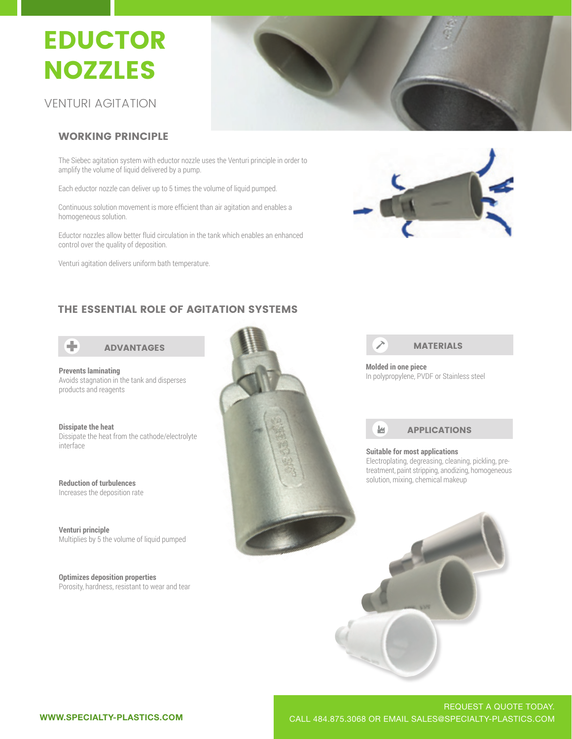## **EDUCTOR** NOZZLES **NUCTOR** PUUTUN<br>Azzi Fe  $\sim$   $\sim$   $\sim$   $\sim$   $\sim$ EDUCTOR NOZZLES

VENTURI AGITATION VENTURI AGITATION

# WORKING PRINCIPLE

The Siebec agitation system with eductor nozzle uses the Venturi principle in order to Theorem and the Venturi amplify the volume of liquid delivered by a pump.

Each eductor nozzle can deliver up to 5 times the volume of liquid pumped.

homogeneous solution. Continuous solution movement is more efficient than air agitation and enables a

Eductor nozzles allow better fluid circulation in the tank which enables an enhanced control over the quality of deposition.

Venturi agitation delivers uniform bath temperature.





# THE ESSENTIAL ROLE OF AGITATION SYSTEMS



Avoids stagnation in the tank and disperses

**Dissipate the heat** product are near the cathode/electrolyte interface

**Reduction of turbulences** Increases the deposition rate

**Reduction of the Second**<br>*Multiplies* by Ethersely **The deposition rate of liquid pumped**<br>Multiplies by 5 the volume of liquid pumped **Venturi principle** Indiction by a the volunte of

Porosity, hardness, resistant to wear and tear **Optimizes deposition properties** 





**Molded in one piece**



solution, mixing, chemical makeup

solution, mixing, chemical makeup

### **Suitable for most applications**

treatment, paint stripping, anodizing, homoge<br>solution, mixing, chemical makeup Electroplating, degreasing, cleaning, pickling, pretreatment, paint stripping, anodizing, homogeneous

Electroplating, degreasing, cleaning, pickling, pretreatment, paint stripping, and another paint stripping, homogeneous

Electroplating, degreasing, cleaning, pickling, pretreatment, paint stripping, and another stripping, homogeneous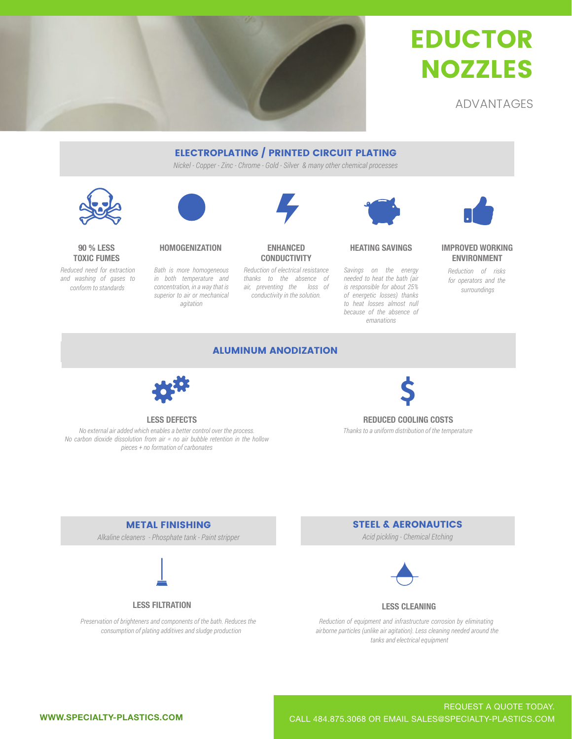

# **EDUCTOR** NOZZLES EDUCTO LDOOTO<br>Sia77le **EDUCTOR** NOZZLES

ADVANTAGES ADVANTAGES

# ELECTROPLATING / PRINTED CIRCUIT PLATING

*Nickel - Copper - Zinc - Chrome - Gold - Silver & many other chemical processes*



## **90 % LESS TOXIC FUMES**

and washing of gases to  $\emph{conform to standards}$ *Reduced need for extraction* 



*Bath is more homogeneous agitation Bath is more homogeneous Bath is more homogeneous in both temperature and concentration, in a way that is superior to air or mechanical* 

# **CONDUCTIVITY**

in both temperature and thanks to the absence of meeded to heat the bath (air<br>consentation is consented in this convention than the cost is preparailled for chart OFM preventing the 1033<br>
conductivity in the solution. *Reduction of electrical resistance air, preventing the loss of* 



# **HOMOGENIZATION ENHANCED HEATING SAVINGS**

*Savings on the energy to heat losses almost null Savings on the energy because of the absence of*  $emanations$ *Savings on the energy needed to heat the bath (air is responsible for about 25% of energetic losses) thanks* 



## **IMPROVED WORKING ENVIRONMENT**

for operators and the  $surroundings$ *Reduction of risks* 

# ALUMINUM ANODIZATION



*No external air added which enables a better control over the process. No carbon dioxide dissolution from air = no air bubble retention in the hollow pieces + no formation of carbonates* 



# **LESS DEFECTS REDUCED COOLING COSTS**  *Thanks to a uniform distribution of the temperature*

METAL FINISHING

*Alkaline cleaners - Phosphate tank - Paint stripper* 



## **LESS FILTRATION**

*Preservation of brighteners and components of the bath. Reduces the consumption of plating additives and sludge production*

# STEEL & AERONAUTICS

*Acid pickling - Chemical Etching* 



## **LESS CLEANING**

*Reduction of equipment and infrastructure corrosion by eliminating* airborne particles (unlike air agitation). Less cleaning needed around the tanks and electrical equipment

 *eht dnuora dedeen gninaelc sseL .)noitatiga ria ekilnu( selcitrap enrob ria*

 *eht dnuora dedeen gninaelc sseL .)noitatiga ria ekilnu( selcitrap enrob ria*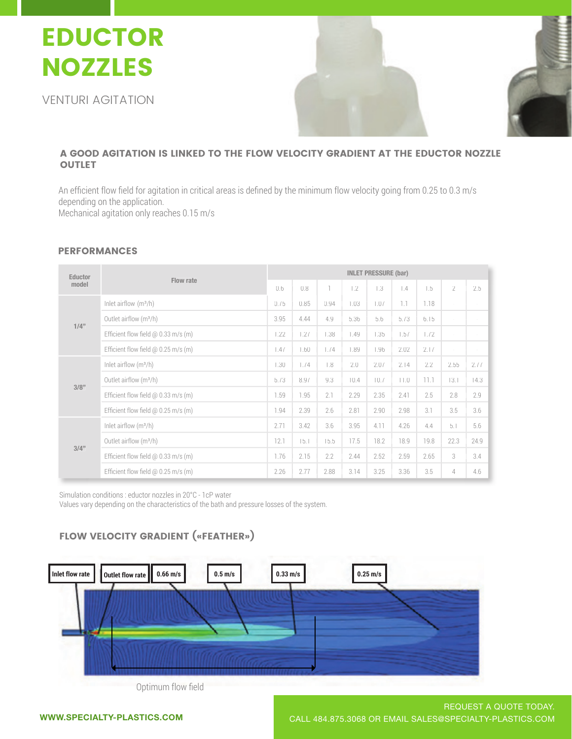# EDUCTOR EDUCTOR EDUCTOR NOZZLES NOZZLES NOZZLES

VENTURI AGITATION VENTURI AGITATION VENTURI AGITATION





#### A GOOD AGITATION IS LINKED TO THE FLOW VELOCITY GRADIENT AT THE FLOW VELOCITY GRADIENT AT THE EDUCTOR NOZZLET A GOOD AGITATION IS LINKED TO THE FLOW VELOCITY GRADIENT AT THE EDUCTOR NOZZLE **OUTLET** A GOOD AGITATION IS LINKED TO THE FLOW VELOCITY GRADIENT CONTROL IS LINKED TO THE EDUCTOR OF THE EDUCTOR NOZZL

depending on the application. depending on the application. . Mechanical agitation only reaches 0.15 m/s . An efficient flow field for agitation in critical areas is defined by the minimum flow velocity going from 0.25 to 0.3 m/s Mechanical agitation only reac

# PERFORMANCES

|  | Eductor<br>model | Flow rate                                  | <b>INLET PRESSURE (bar)</b> |      |      |      |      |      |      |                |        |
|--|------------------|--------------------------------------------|-----------------------------|------|------|------|------|------|------|----------------|--------|
|  |                  |                                            |                             | 0.8  |      | 1.2  | 1.3  | 1.4  | 1.5  | $\overline{2}$ | 2.5    |
|  | $1/4$ "          | Inlet airflow $(m^3/h)$                    | 0.75                        | 0.85 | 0.94 | 1.03 | 1.07 | 1.1  | 1.18 | $\sim$         | $\sim$ |
|  |                  | Outlet airflow (m <sup>3</sup> /h)         | 3.95                        | 4.44 | 4.9  | 5.36 | 5.6  | 5.73 | 6.15 | $\sim$         | $\sim$ |
|  |                  | Efficient flow field $\omega$ 0.33 m/s (m) | 1.22                        | 1.27 | 1.38 | 1.49 | 1.35 | 1.57 | 1.72 | $\sim$         | ÷,     |
|  |                  | Efficient flow field $\omega$ 0.25 m/s (m) | 1.47                        | 1.60 | 1.74 | 1.89 | 1.96 | 2.02 | 2.17 | $\sim$         | $\sim$ |
|  | 3/8"             | Inlet airflow $(m^3/h)$                    | 1.30                        | 1.74 | 1.8  | 2.0  | 2.07 | 2.14 | 2.2  | 2.55           | 2.77   |
|  |                  | Outlet airflow (m <sup>3</sup> /h)         | 6.73                        | 8.97 | 9.3  | 10.4 | 10.7 | 11.0 | 11.1 | 13.1           | 14.3   |
|  |                  | Efficient flow field $\omega$ 0.33 m/s (m) | 1.59                        | 1.95 | 2.1  | 2.29 | 2.35 | 2.41 | 2.5  | 2.8            | 2.9    |
|  |                  | Efficient flow field $\omega$ 0.25 m/s (m) | 1.94                        | 2.39 | 2.6  | 2.81 | 2.90 | 2.98 | 3.1  | 3.5            | 3.6    |
|  | 3/4"             | Inlet airflow $(m^3/h)$                    | 2.71                        | 3.42 | 3.6  | 3.95 | 4.11 | 4.26 | 4.4  | 5.1            | 5.6    |
|  |                  | Outlet airflow (m <sup>3</sup> /h)         | 12.1                        | 15.1 | 15.5 | 17.5 | 18.2 | 18.9 | 19.8 | 22.3           | 24.9   |
|  |                  | Efficient flow field @ 0.33 m/s (m)        | 1.76                        | 2.15 | 2.2  | 2.44 | 2.52 | 2.59 | 2.65 | 3              | 3.4    |
|  |                  | Efficient flow field $\omega$ 0.25 m/s (m) | 2.26                        | 2.77 | 2.88 | 3.14 | 3.25 | 3.36 | 3.5  | 4              | 4.6    |

Simulation conditions : eductor nozzles in 20°C - 1cP water

Values vary depending on the characteristics of the bath and pressure losses of the system.

#### Simulation conditions : eductor nozzles in 20°C - 1cP water FLOW VELOCITY GRADIENT («FEATHER») Values vary depending on the characteristics of the bath and pressure losses of the system.



Optimum flow field

REQUEST A QUOTE TODAY. WWW.SPECIALTY-PLASTICS.COM CALL 484.875.3068 OR EMAIL SALES@SPECIALTY-PLASTICS.COM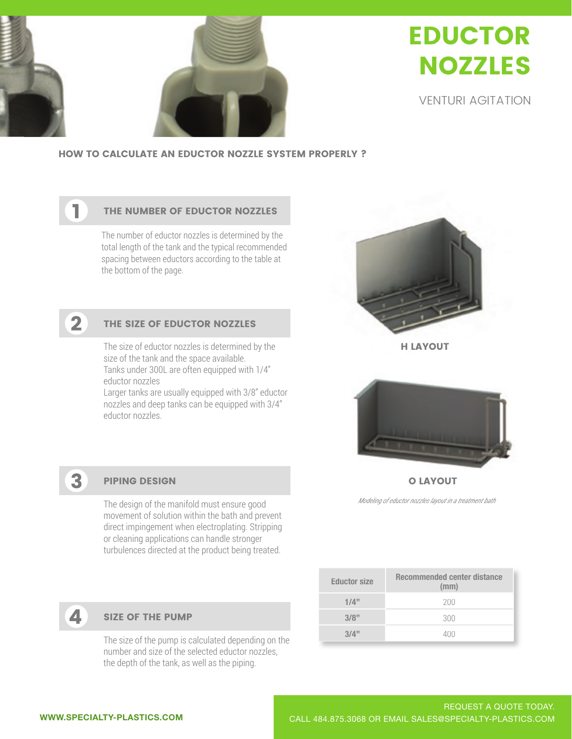

# EDUCTOR EDUCTOR EDUCTOR NOZZLES NOZZLES NOZZLES

VENTURI AGITATION VENTURI AGITATION VENTURI AGITATION

HOW TO CALCULATE AN EDUCTOR NOZZLE SYSTEM PROPERLY ?

# THE NUMBER OF EDUCTOR NOZZLES

The number of eductor nozzles is determined by the Total length of the tank and the typical lecomin spacing between eductors according to the table at the bottom of the page. length of the tank and the typical recommending total length of the tank and the typical recommended



1

1

# THE SIZE OF EDUCTOR NOZZLES

The size of eductor nozzles is determined by the Tanks under 300L are often equipped with 1/4" size of the tank and the space available. eductor nozzles

eductor nozzles<br>Larger tanks are usually equipped with 3/8" eductor Larger tanks are usually equipped with 9/0 cuuctomed property. eductor nozzles eductor nozzles. eductor nozzles Larger tanks are usually equipped with 3/8'' eductor Larger tanks are usually equipped with 3/8'' eductor



H LAYOUT



O LAYOUT

*Modeling of eductor nozzles layout in a treatment bath*

| <b>Eductor size</b> | <b>Recommended center distance</b><br>(mm) |
|---------------------|--------------------------------------------|
| 1/4"                | 200                                        |
| 3/8"                | 300                                        |
| 3/4"                |                                            |

# PIPING DESIGN

movement of solution within the bath and prevent or cleaning applications can handle stronger<br>The design of the manifold must ensure turbulences directed at the product being treated. The design of the manifold must ensure good direct impingement when electroplating. Stripping



3

# SIZE OF THE PUMP

the depth of the tank, as well as the piping. The size of the pump is calculated depending on the number and size of the selected eductor nozzles,

number and size of the selected eductor nozzles,

**5**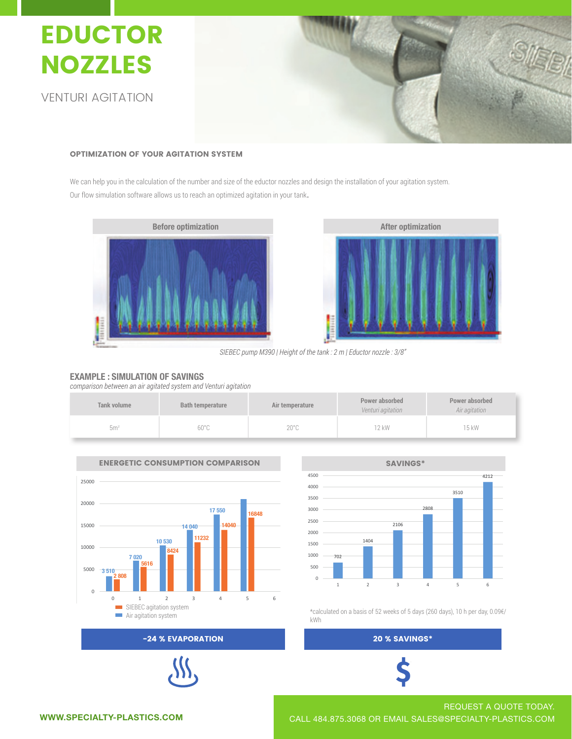

#### OPTIMIZATION OF YOUR AGITATION SYSTEM OPTIMIZATION OF YOUR AGITATION SYSTEM OPTIMIZATION OF YOUR AGITATION SYSTEM

We can help you in the calculation of the number and size of the eductor nozzles and design the installation of your agitation system. Our flow simulation software allows us to reach an optimized agitation in your tank. We can help you in the calculation of the number and size of the eductor nozzles and design the installation of your agitation system. our flow simulation software allows us to reach an optimized agitation in your tank. Our flow simulation software allows us to reach an optimized agitation in your tank.





*SIEBEC pump M390 | Height of the tank : 2 m | Eductor nozzle : 3/8''*

## **EXAMPLE : SIMULATION OF SAVINGS**

*comparison between an air agitated system and Venturi agitation*

| <b>Tank volume</b> | <b>Bath temperature</b> | Air temperature | Power absorbed<br>Venturi agitation | Power absorbed<br>Air agitation |
|--------------------|-------------------------|-----------------|-------------------------------------|---------------------------------|
| 5 <sup>m</sup>     | $60^{\circ}$ C          | $20^{\circ}$ C  | 12 kW                               | 15 kW                           |





500 Air agitation system \*calculated on a basis of 52 weeks of 5 days (260 days), 10 h per day, 0.09€/ 500 kWh

# $1 \leq i \leq n$  and  $1 \leq i \leq n$  and  $1 \leq i \leq n$  for  $i \leq n$  for  $i \leq n$  for  $i \leq n$



-24 % EVAPORATION



REQUEST A QUOTE TODAY. WWW.SPECIALTY-PLASTICS.COM CALL 484.875.3068 OR EMAIL SALES@SPECIALTY-PLASTICS.COM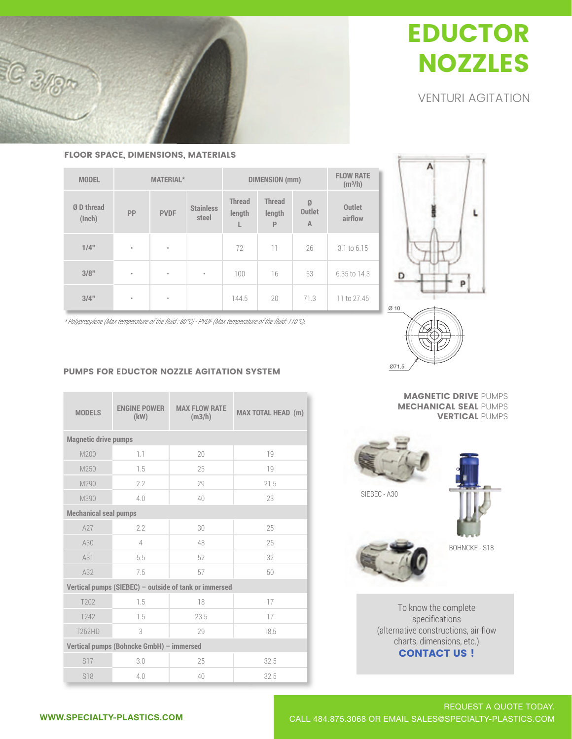# EDUCTOR EDUCTOR EDUCTOR NOZZLES NOZZLES NOZZLES

VENTURI AGITATION VENTURI AGITATION VENTURI AGITATION

FLOOR SPACE, DIMENSIONS, MATERIALS

 $C_{3}$ 

| <b>MODEL</b>         |           | <b>MATERIAL*</b> |                           |                              | <b>DIMENSION</b> (mm)                   |                                      |                          |  |  |
|----------------------|-----------|------------------|---------------------------|------------------------------|-----------------------------------------|--------------------------------------|--------------------------|--|--|
| Ø D thread<br>(Inch) | PP        | <b>PVDF</b>      | <b>Stainless</b><br>steel | <b>Thread</b><br>length<br>L | <b>Thread</b><br>length<br>$\mathsf{P}$ | Ø<br><b>Outlet</b><br>$\overline{A}$ | <b>Outlet</b><br>airflow |  |  |
| $1/4$ "              | $\circ$   | $\bullet$        |                           | 72                           | 11                                      | 26                                   | 3.1 to 6.15              |  |  |
| 3/8"                 | $\bullet$ | $\circ$          | $\circ$                   | 100                          | 16                                      | 53                                   | 6.35 to 14.3             |  |  |
| 3/4"                 | $\bullet$ | $\circ$          |                           | 144.5                        | 20                                      | 71.3                                 | 11 to 27.45              |  |  |



**3/4"** • • 144.5 20 71.3 11 to 27.45 *\* Polypropylene (Max temperature of the fluid : 80°C) - PVDF (Max temperature of the fluid: 110°C).* **3/4"** • • 144.5 20 71.3 11 to 27.45

# PUMPS FOR EDUCTOR NOZZLE AGITATION SYSTEM

| <b>MODELS</b>                                         | <b>ENGINE POWER</b><br>(kW) | <b>MAX FLOW RATE</b><br>(m3/h) | <b>MAX TOTAL HEAD (m)</b> |  |  |  |  |  |
|-------------------------------------------------------|-----------------------------|--------------------------------|---------------------------|--|--|--|--|--|
| <b>Magnetic drive pumps</b>                           |                             |                                |                           |  |  |  |  |  |
| M200                                                  | 1.1                         | 20                             | 19                        |  |  |  |  |  |
| M250                                                  | 1.5                         | 25                             | 19                        |  |  |  |  |  |
| M290                                                  | 2.2                         | 29                             | 21.5                      |  |  |  |  |  |
| M390                                                  | 4.0                         | 40                             | 23                        |  |  |  |  |  |
| <b>Mechanical seal pumps</b>                          |                             |                                |                           |  |  |  |  |  |
| A27                                                   | 2.2                         | 30                             | 25                        |  |  |  |  |  |
| A30                                                   | $\overline{4}$              | 48                             | 25                        |  |  |  |  |  |
| A31                                                   | 5.5                         | 52                             | 32                        |  |  |  |  |  |
| A32                                                   | 7.5                         | 57                             | 50                        |  |  |  |  |  |
| Vertical pumps (SIEBEC) - outside of tank or immersed |                             |                                |                           |  |  |  |  |  |
| T202                                                  | 1.5                         | 18                             | 17                        |  |  |  |  |  |
| T242                                                  | 1.5                         | 23.5                           | 17                        |  |  |  |  |  |
| T262HD                                                | 3                           | 29                             | 18,5                      |  |  |  |  |  |
| Vertical pumps (Bohncke GmbH) - immersed              |                             |                                |                           |  |  |  |  |  |
| S17                                                   | 3.0                         | 25                             | 32.5                      |  |  |  |  |  |
| S18                                                   | 4.0                         | 40                             | 32.5                      |  |  |  |  |  |

MAGNETIC DRIVE PUMPS MECHANICAL SEAL PUMPS VERTICAL PUMPS



To know the complete specifications (alternative constructions, air flow charts, dimensions, etc.) CONTACT US !

T262HD 3 29 18,5

T262HD 3 29 18,5

S18 4.0 40 32.5